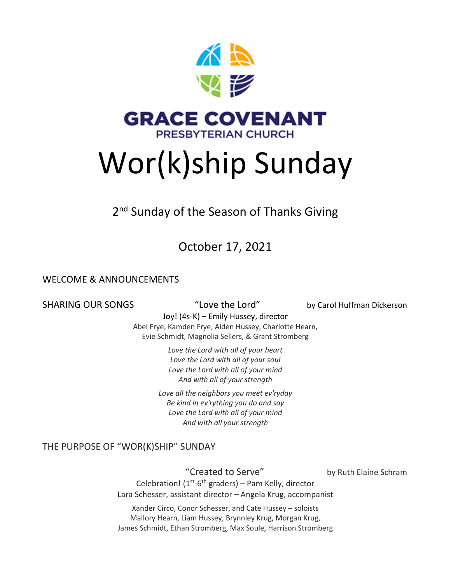

## Wor(k)ship Sunday

2<sup>nd</sup> Sunday of the Season of Thanks Giving

October 17, 2021

## WELCOME & ANNOUNCEMENTS

SHARING OUR SONGS 
<sup>"Love</sup> the Lord" by Carol Huffman Dickerson

Joy! (4s-K) – Emily Hussey, director Abel Frye, Kamden Frye, Aiden Hussey, Charlotte Hearn, Evie Schmidt, Magnolia Sellers, & Grant Stromberg

> *Love the Lord with all of your heart Love the Lord with all of your soul Love the Lord with all of your mind And with all of your strength*

*Love all the neighbors you meet ev'ryday Be kind in ev'rything you do and say Love the Lord with all of your mind And with all your strength*

THE PURPOSE OF "WOR(K)SHIP" SUNDAY

"Created to Serve" by Ruth Elaine Schram

Celebration! (1<sup>st</sup>-6<sup>th</sup> graders) – Pam Kelly, director Lara Schesser, assistant director – Angela Krug, accompanist

Xander Circo, Conor Schesser, and Cate Hussey – soloists Mallory Hearn, Liam Hussey, Brynnley Krug, Morgan Krug, James Schmidt, Ethan Stromberg, Max Soule, Harrison Stromberg